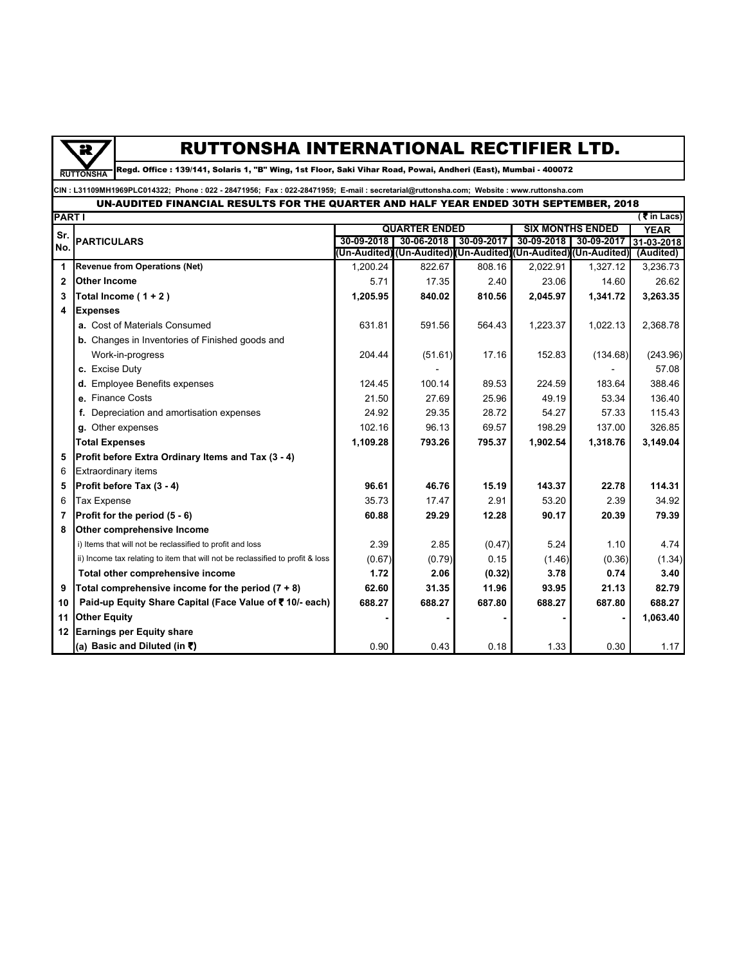

## RUTTONSHA INTERNATIONAL RECTIFIER LTD.

Regd. Office : 139/141, Solaris 1, "B" Wing, 1st Floor, Saki Vihar Road, Powai, Andheri (East), Mumbai - 400072

**CIN : L31109MH1969PLC014322; Phone : 022 - 28471956; Fax : 022-28471959; E-mail : secretarial@ruttonsha.com; Website : www.ruttonsha.com**

## UN-AUDITED FINANCIAL RESULTS FOR THE QUARTER AND HALF YEAR ENDED 30TH SEPTEMBER, 2018

| <b>PART I</b><br>( $\overline{\xi}$ in Lacs) |                                                                                |                      |                                                                  |            |                         |            |             |  |  |
|----------------------------------------------|--------------------------------------------------------------------------------|----------------------|------------------------------------------------------------------|------------|-------------------------|------------|-------------|--|--|
| Sr.                                          | <b>PARTICULARS</b>                                                             | <b>QUARTER ENDED</b> |                                                                  |            | <b>SIX MONTHS ENDED</b> |            | <b>YEAR</b> |  |  |
| No.                                          |                                                                                | 30-09-2018           | 30-06-2018                                                       | 30-09-2017 | 30-09-2018              | 30-09-2017 | 31-03-2018  |  |  |
|                                              |                                                                                |                      | (Un-Audited) (Un-Audited) (Un-Audited) (Un-Audited) (Un-Audited) |            |                         |            | (Audited)   |  |  |
| 1                                            | <b>Revenue from Operations (Net)</b>                                           | 1.200.24             | 822.67                                                           | 808.16     | 2.022.91                | 1,327.12   | 3,236.73    |  |  |
| $\mathbf{2}$                                 | <b>Other Income</b>                                                            | 5.71                 | 17.35                                                            | 2.40       | 23.06                   | 14.60      | 26.62       |  |  |
| 3                                            | Total Income $(1 + 2)$                                                         | 1,205.95             | 840.02                                                           | 810.56     | 2,045.97                | 1,341.72   | 3,263.35    |  |  |
| 4                                            | <b>Expenses</b>                                                                |                      |                                                                  |            |                         |            |             |  |  |
|                                              | a. Cost of Materials Consumed                                                  | 631.81               | 591.56                                                           | 564.43     | 1,223.37                | 1,022.13   | 2,368.78    |  |  |
|                                              | <b>b.</b> Changes in Inventories of Finished goods and                         |                      |                                                                  |            |                         |            |             |  |  |
|                                              | Work-in-progress                                                               | 204.44               | (51.61)                                                          | 17.16      | 152.83                  | (134.68)   | (243.96)    |  |  |
|                                              | c. Excise Duty                                                                 |                      |                                                                  |            |                         |            | 57.08       |  |  |
|                                              | d. Employee Benefits expenses                                                  | 124.45               | 100.14                                                           | 89.53      | 224.59                  | 183.64     | 388.46      |  |  |
|                                              | e. Finance Costs                                                               | 21.50                | 27.69                                                            | 25.96      | 49.19                   | 53.34      | 136.40      |  |  |
|                                              | Depreciation and amortisation expenses<br>f.                                   | 24.92                | 29.35                                                            | 28.72      | 54.27                   | 57.33      | 115.43      |  |  |
|                                              | Other expenses<br>g.                                                           | 102.16               | 96.13                                                            | 69.57      | 198.29                  | 137.00     | 326.85      |  |  |
|                                              | <b>Total Expenses</b>                                                          | 1,109.28             | 793.26                                                           | 795.37     | 1,902.54                | 1,318.76   | 3,149.04    |  |  |
| 5                                            | Profit before Extra Ordinary Items and Tax (3 - 4)                             |                      |                                                                  |            |                         |            |             |  |  |
| 6                                            | <b>Extraordinary items</b>                                                     |                      |                                                                  |            |                         |            |             |  |  |
| 5                                            | Profit before Tax (3 - 4)                                                      | 96.61                | 46.76                                                            | 15.19      | 143.37                  | 22.78      | 114.31      |  |  |
| 6                                            | <b>Tax Expense</b>                                                             | 35.73                | 17.47                                                            | 2.91       | 53.20                   | 2.39       | 34.92       |  |  |
| 7                                            | Profit for the period (5 - 6)                                                  | 60.88                | 29.29                                                            | 12.28      | 90.17                   | 20.39      | 79.39       |  |  |
| 8                                            | Other comprehensive Income                                                     |                      |                                                                  |            |                         |            |             |  |  |
|                                              | i) Items that will not be reclassified to profit and loss                      | 2.39                 | 2.85                                                             | (0.47)     | 5.24                    | 1.10       | 4.74        |  |  |
|                                              | ii) Income tax relating to item that will not be reclassified to profit & loss | (0.67)               | (0.79)                                                           | 0.15       | (1.46)                  | (0.36)     | (1.34)      |  |  |
|                                              | Total other comprehensive income                                               | 1.72                 | 2.06                                                             | (0.32)     | 3.78                    | 0.74       | 3.40        |  |  |
| 9                                            | Total comprehensive income for the period $(7 + 8)$                            | 62.60                | 31.35                                                            | 11.96      | 93.95                   | 21.13      | 82.79       |  |  |
| 10                                           | Paid-up Equity Share Capital (Face Value of ₹10/- each)                        | 688.27               | 688.27                                                           | 687.80     | 688.27                  | 687.80     | 688.27      |  |  |
| 11                                           | <b>Other Equity</b>                                                            |                      |                                                                  |            |                         |            | 1,063.40    |  |  |
| 12 <sup>12</sup>                             | <b>Earnings per Equity share</b>                                               |                      |                                                                  |            |                         |            |             |  |  |
|                                              | (a) Basic and Diluted (in ₹)                                                   | 0.90                 | 0.43                                                             | 0.18       | 1.33                    | 0.30       | 1.17        |  |  |